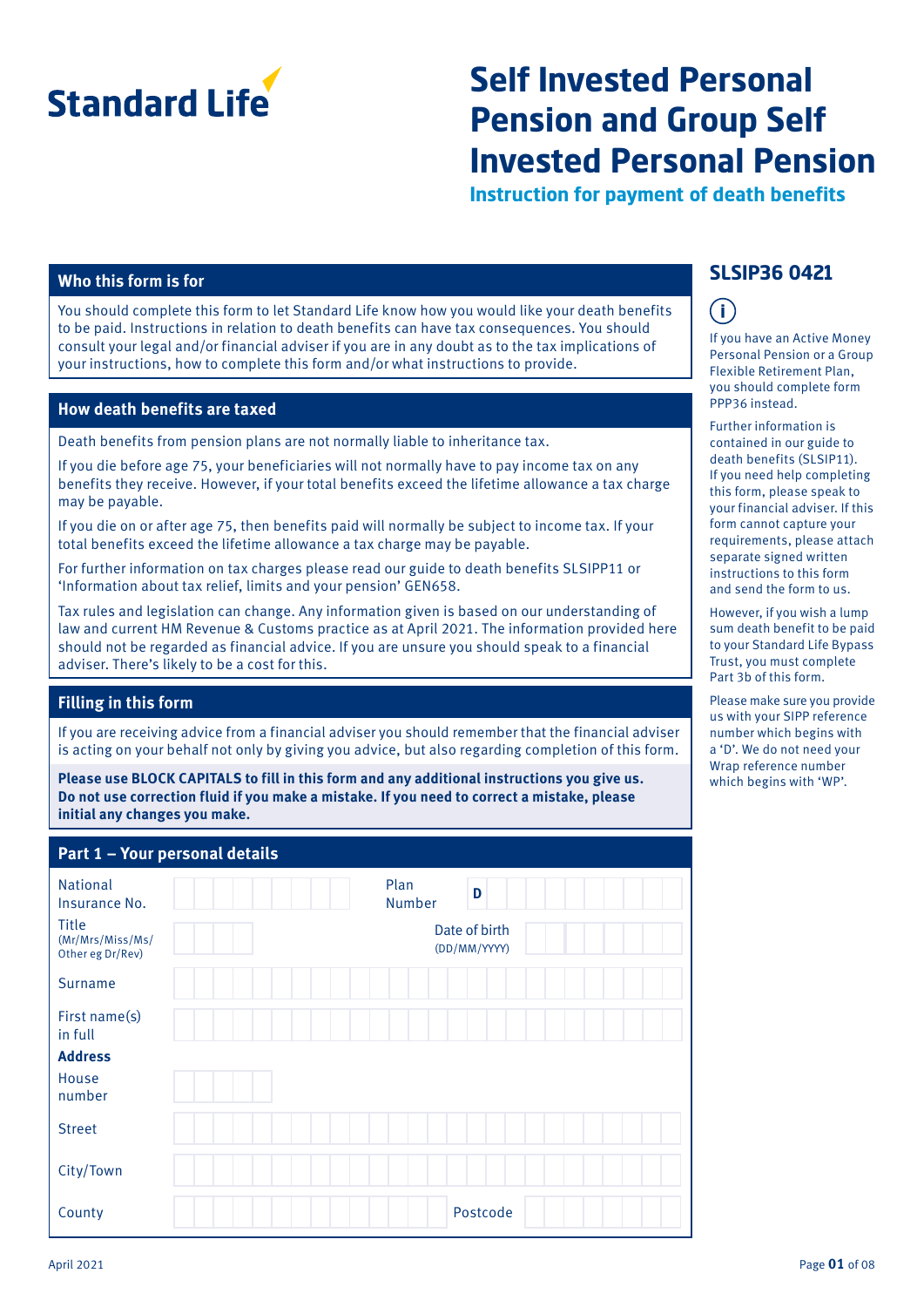

# **Self Invested Personal Pension and Group Self Invested Personal Pension**

**Instruction for payment of death benefits**

## **Who this form is for**

You should complete this form to let Standard Life know how you would like your death benefits to be paid. Instructions in relation to death benefits can have tax consequences. You should consult your legal and/or financial adviser if you are in any doubt as to the tax implications of your instructions, how to complete this form and/or what instructions to provide.

#### **How death benefits are taxed**

Death benefits from pension plans are not normally liable to inheritance tax.

If you die before age 75, your beneficiaries will not normally have to pay income tax on any benefits they receive. However, if your total benefits exceed the lifetime allowance a tax charge may be payable.

If you die on or after age 75, then benefits paid will normally be subject to income tax. If your total benefits exceed the lifetime allowance a tax charge may be payable.

For further information on tax charges please read our guide to death benefits SLSIPP11 or 'Information about tax relief, limits and your pension' GEN658.

Tax rules and legislation can change. Any information given is based on our understanding of law and current HM Revenue & Customs practice as at April 2021. The information provided here should not be regarded as financial advice. If you are unsure you should speak to a financial adviser. There's likely to be a cost for this.

#### **Filling in this form**

If you are receiving advice from a financial adviser you should remember that the financial adviser is acting on your behalf not only by giving you advice, but also regarding completion of this form.

**Please use BLOCK CAPITALS to fill in this form and any additional instructions you give us. Do not use correction fluid if you make a mistake. If you need to correct a mistake, please initial any changes you make.**

## **Part 1 – Your personal details**

| $\frac{1}{2}$ and $\frac{1}{2}$ and $\frac{1}{2}$ are personal detailed                  |                                                      |
|------------------------------------------------------------------------------------------|------------------------------------------------------|
| <b>National</b><br>Insurance No.<br><b>Title</b><br>(Mr/Mrs/Miss/Ms/<br>Other eg Dr/Rev) | Plan<br>D<br>Number<br>Date of birth<br>(DD/MM/YYYY) |
| <b>Surname</b>                                                                           |                                                      |
| First name(s)<br>in full                                                                 |                                                      |
| <b>Address</b>                                                                           |                                                      |
| House<br>number                                                                          |                                                      |
| <b>Street</b>                                                                            |                                                      |
| City/Town                                                                                |                                                      |
| County                                                                                   | Postcode                                             |

## **SLSIP36 0421**

## $\left( \mathbf{1}\right)$

If you have an Active Money Personal Pension or a Group Flexible Retirement Plan, you should complete form PPP36 instead.

Further information is contained in our guide to death benefits (SLSIP11). If you need help completing this form, please speak to your financial adviser. If this form cannot capture your requirements, please attach separate signed written instructions to this form and send the form to us.

However, if you wish a lump sum death benefit to be paid to your Standard Life Bypass Trust, you must complete Part 3b of this form.

Please make sure you provide us with your SIPP reference number which begins with a 'D'. We do not need your Wrap reference number which begins with 'WP'.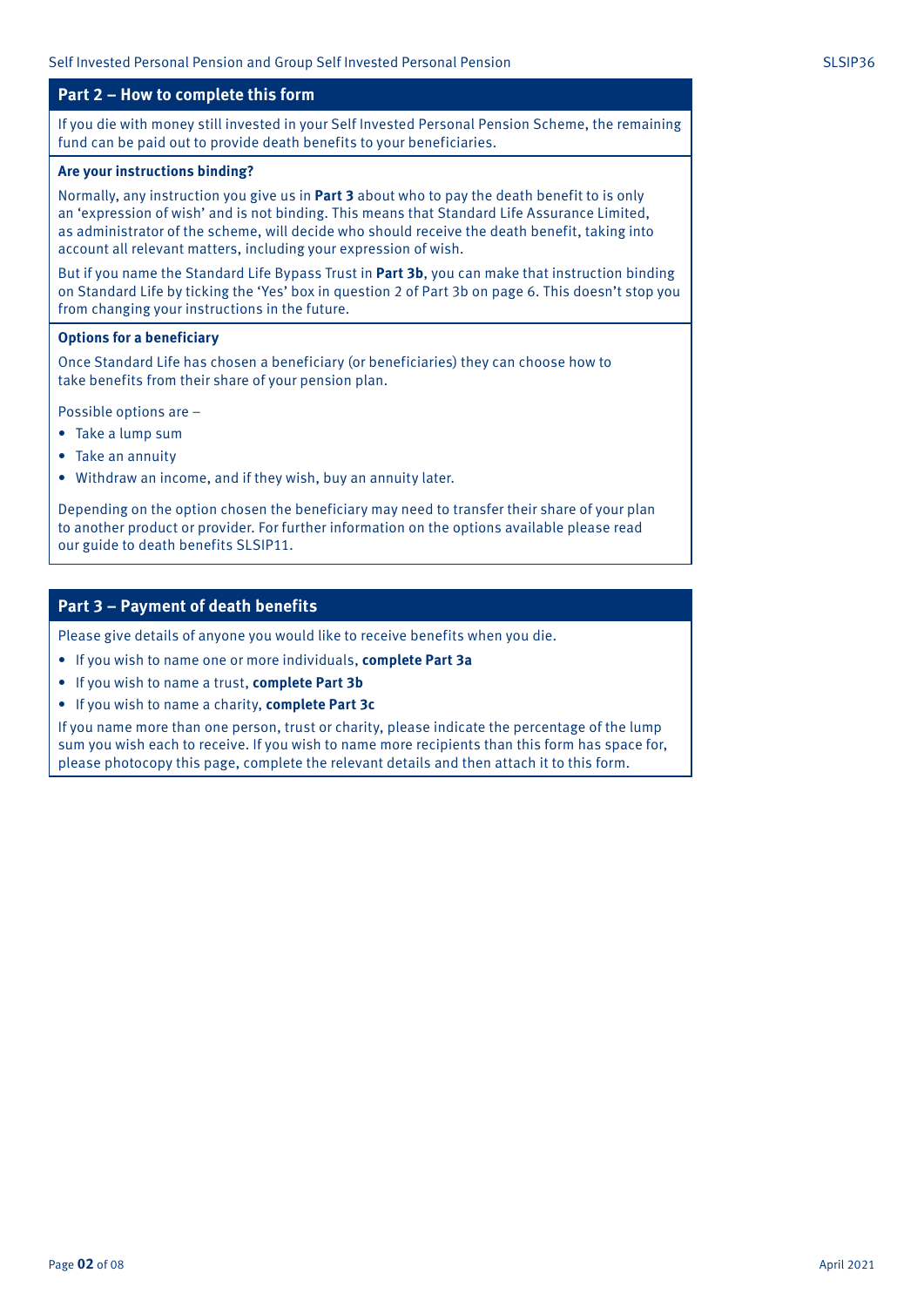### **Part 2 – How to complete this form**

If you die with money still invested in your Self Invested Personal Pension Scheme, the remaining fund can be paid out to provide death benefits to your beneficiaries.

#### **Are your instructions binding?**

Normally, any instruction you give us in **Part 3** about who to pay the death benefit to is only an 'expression of wish' and is not binding. This means that Standard Life Assurance Limited, as administrator of the scheme, will decide who should receive the death benefit, taking into account all relevant matters, including your expression of wish.

But if you name the Standard Life Bypass Trust in **Part 3b**, you can make that instruction binding on Standard Life by ticking the 'Yes' box in question 2 of Part 3b on page 6. This doesn't stop you from changing your instructions in the future.

#### **Options for a beneficiary**

Once Standard Life has chosen a beneficiary (or beneficiaries) they can choose how to take benefits from their share of your pension plan.

Possible options are –

- Take a lump sum
- Take an annuity
- Withdraw an income, and if they wish, buy an annuity later.

Depending on the option chosen the beneficiary may need to transfer their share of your plan to another product or provider. For further information on the options available please read our guide to death benefits SLSIP11.

## **Part 3 – Payment of death benefits**

Please give details of anyone you would like to receive benefits when you die.

- If you wish to name one or more individuals, **complete Part 3a**
- If you wish to name a trust, **complete Part 3b**
- If you wish to name a charity, **complete Part 3c**

If you name more than one person, trust or charity, please indicate the percentage of the lump sum you wish each to receive. If you wish to name more recipients than this form has space for, please photocopy this page, complete the relevant details and then attach it to this form.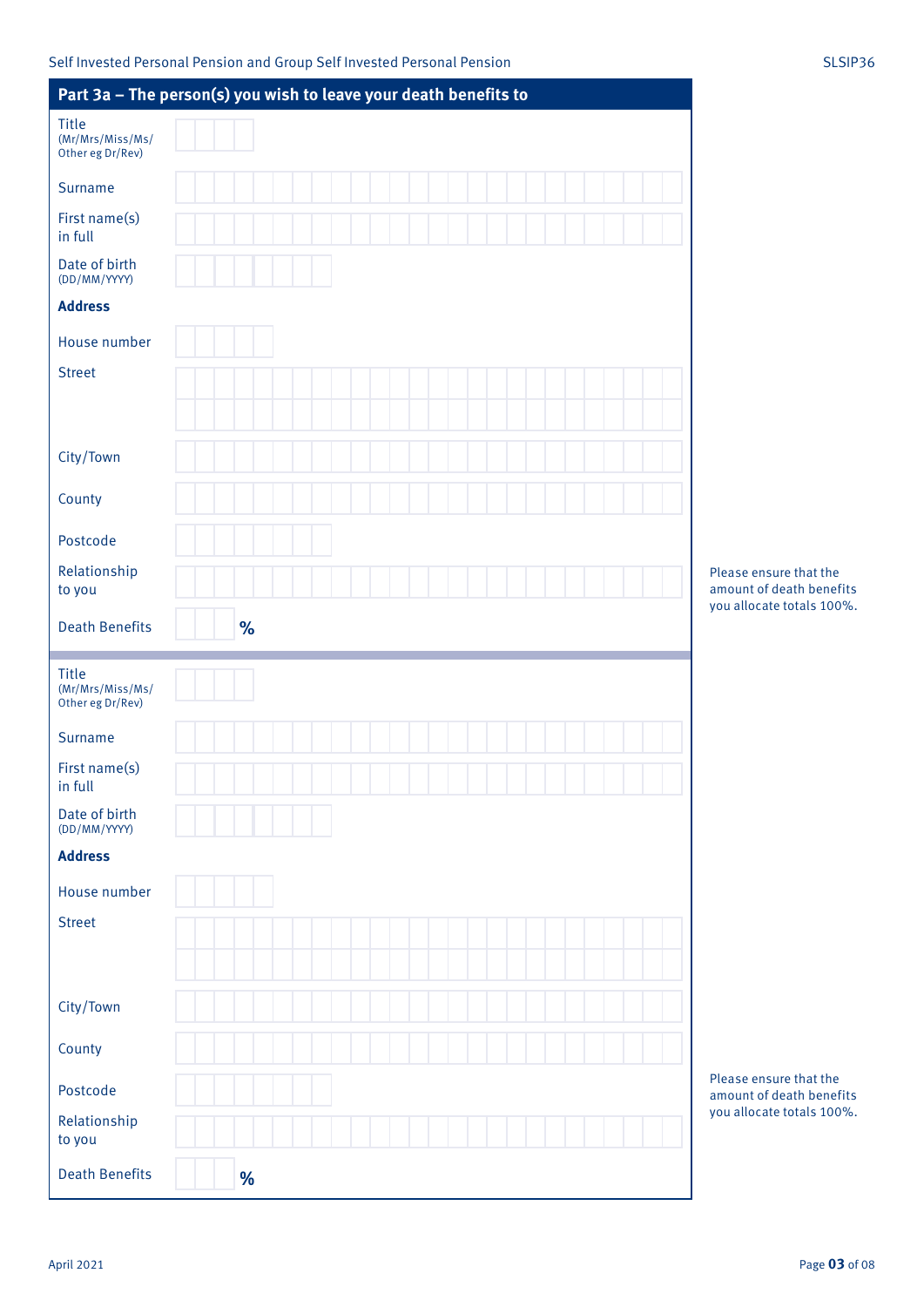|                                                      | Part 3a - The person(s) you wish to leave your death benefits to |      |  |  |  |  |  |  |   |  |                                                                                 |
|------------------------------------------------------|------------------------------------------------------------------|------|--|--|--|--|--|--|---|--|---------------------------------------------------------------------------------|
| <b>Title</b><br>(Mr/Mrs/Miss/Ms/<br>Other eg Dr/Rev) |                                                                  |      |  |  |  |  |  |  |   |  |                                                                                 |
| Surname                                              |                                                                  |      |  |  |  |  |  |  |   |  |                                                                                 |
| First name(s)<br>in full                             |                                                                  |      |  |  |  |  |  |  |   |  |                                                                                 |
| Date of birth<br>(DD/MM/YYYY)                        |                                                                  |      |  |  |  |  |  |  |   |  |                                                                                 |
| <b>Address</b>                                       |                                                                  |      |  |  |  |  |  |  |   |  |                                                                                 |
| House number                                         |                                                                  |      |  |  |  |  |  |  |   |  |                                                                                 |
| <b>Street</b>                                        |                                                                  |      |  |  |  |  |  |  |   |  |                                                                                 |
| City/Town                                            |                                                                  |      |  |  |  |  |  |  |   |  |                                                                                 |
| County                                               |                                                                  |      |  |  |  |  |  |  |   |  |                                                                                 |
| Postcode                                             |                                                                  |      |  |  |  |  |  |  |   |  |                                                                                 |
| Relationship<br>to you                               |                                                                  |      |  |  |  |  |  |  |   |  | Please ensure that the<br>amount of death benefits<br>you allocate totals 100%. |
| <b>Death Benefits</b>                                |                                                                  | $\%$ |  |  |  |  |  |  |   |  |                                                                                 |
| <b>Title</b><br>(Mr/Mrs/Miss/Ms/<br>Other eg Dr/Rev) |                                                                  |      |  |  |  |  |  |  |   |  |                                                                                 |
|                                                      |                                                                  |      |  |  |  |  |  |  |   |  |                                                                                 |
| Surname                                              |                                                                  |      |  |  |  |  |  |  |   |  |                                                                                 |
| First name(s)<br>in full                             |                                                                  |      |  |  |  |  |  |  | . |  |                                                                                 |
| Date of birth<br>(DD/MM/YYYY)                        |                                                                  |      |  |  |  |  |  |  |   |  |                                                                                 |
| <b>Address</b>                                       |                                                                  |      |  |  |  |  |  |  |   |  |                                                                                 |
| House number                                         |                                                                  |      |  |  |  |  |  |  |   |  |                                                                                 |
| <b>Street</b>                                        |                                                                  |      |  |  |  |  |  |  |   |  |                                                                                 |
|                                                      |                                                                  |      |  |  |  |  |  |  |   |  |                                                                                 |
| City/Town                                            |                                                                  |      |  |  |  |  |  |  |   |  |                                                                                 |
| County                                               |                                                                  |      |  |  |  |  |  |  |   |  |                                                                                 |
| Postcode                                             |                                                                  |      |  |  |  |  |  |  |   |  | Please ensure that the<br>amount of death benefits                              |
| Relationship<br>to you                               |                                                                  |      |  |  |  |  |  |  |   |  | you allocate totals 100%.                                                       |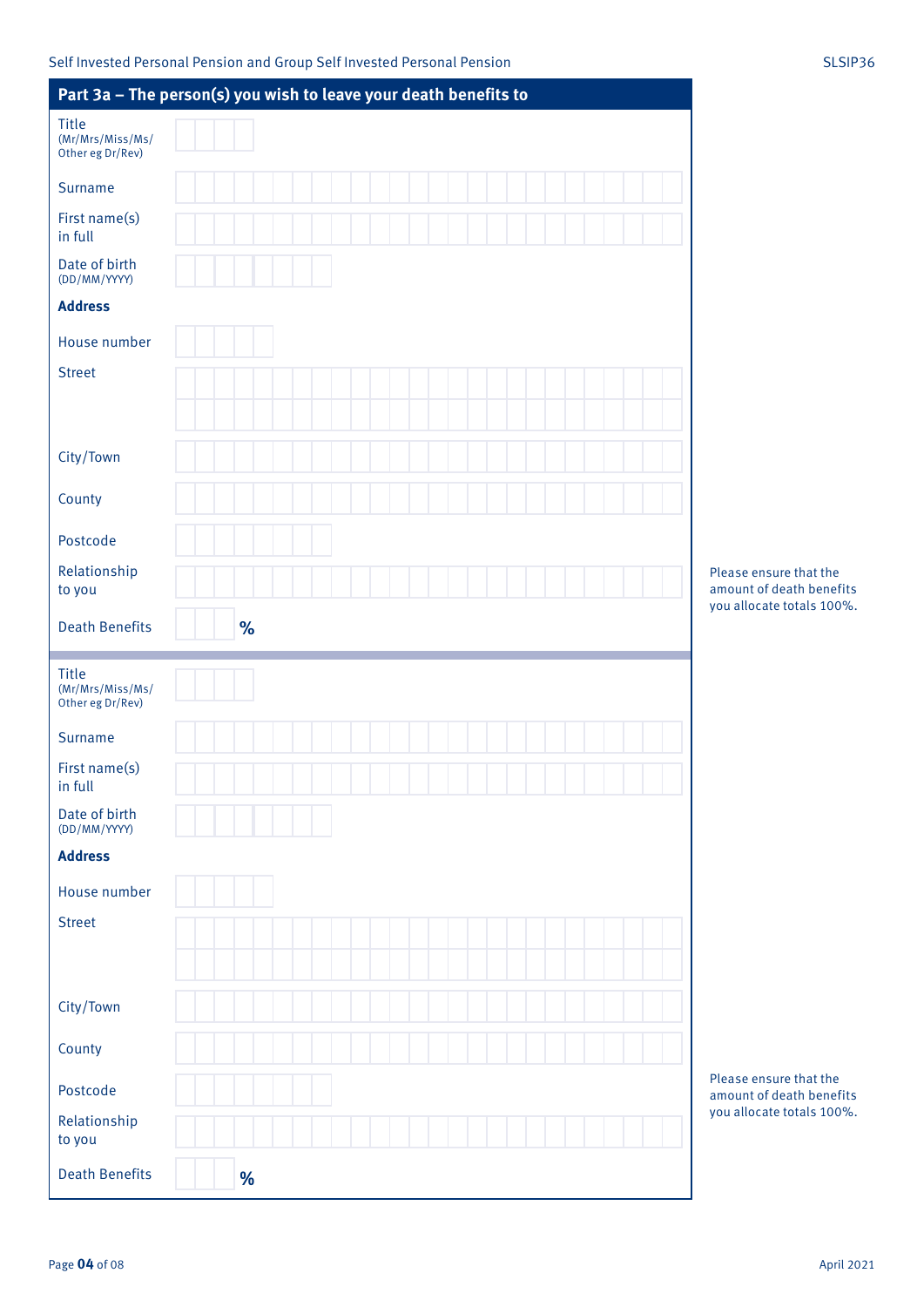| Part 3a - The person(s) you wish to leave your death benefits to |      |  |  |  |  |  |   |  |                                                                                 |
|------------------------------------------------------------------|------|--|--|--|--|--|---|--|---------------------------------------------------------------------------------|
| <b>Title</b><br>(Mr/Mrs/Miss/Ms/<br>Other eg Dr/Rev)             |      |  |  |  |  |  |   |  |                                                                                 |
| Surname                                                          |      |  |  |  |  |  |   |  |                                                                                 |
| First name(s)<br>in full                                         |      |  |  |  |  |  |   |  |                                                                                 |
| Date of birth<br>(DD/MM/YYYY)                                    |      |  |  |  |  |  |   |  |                                                                                 |
| <b>Address</b>                                                   |      |  |  |  |  |  |   |  |                                                                                 |
| House number                                                     |      |  |  |  |  |  |   |  |                                                                                 |
| <b>Street</b>                                                    |      |  |  |  |  |  |   |  |                                                                                 |
| City/Town                                                        |      |  |  |  |  |  |   |  |                                                                                 |
| County                                                           |      |  |  |  |  |  |   |  |                                                                                 |
| Postcode                                                         |      |  |  |  |  |  |   |  |                                                                                 |
| Relationship<br>to you                                           |      |  |  |  |  |  |   |  | Please ensure that the<br>amount of death benefits<br>you allocate totals 100%. |
| <b>Death Benefits</b>                                            | $\%$ |  |  |  |  |  |   |  |                                                                                 |
|                                                                  |      |  |  |  |  |  |   |  |                                                                                 |
| <b>Title</b><br>(Mr/Mrs/Miss/Ms/<br>Other eg Dr/Rev)             |      |  |  |  |  |  |   |  |                                                                                 |
| Surname                                                          |      |  |  |  |  |  |   |  |                                                                                 |
| First name(s)<br>in full                                         |      |  |  |  |  |  | . |  |                                                                                 |
| Date of birth<br>(DD/MM/YYYY)                                    |      |  |  |  |  |  |   |  |                                                                                 |
| <b>Address</b>                                                   |      |  |  |  |  |  |   |  |                                                                                 |
| House number                                                     |      |  |  |  |  |  |   |  |                                                                                 |
| <b>Street</b>                                                    |      |  |  |  |  |  |   |  |                                                                                 |
|                                                                  |      |  |  |  |  |  |   |  |                                                                                 |
| City/Town                                                        |      |  |  |  |  |  |   |  |                                                                                 |
| County                                                           |      |  |  |  |  |  |   |  |                                                                                 |
| Postcode                                                         |      |  |  |  |  |  |   |  | Please ensure that the<br>amount of death benefits                              |
| Relationship<br>to you                                           |      |  |  |  |  |  |   |  | you allocate totals 100%.                                                       |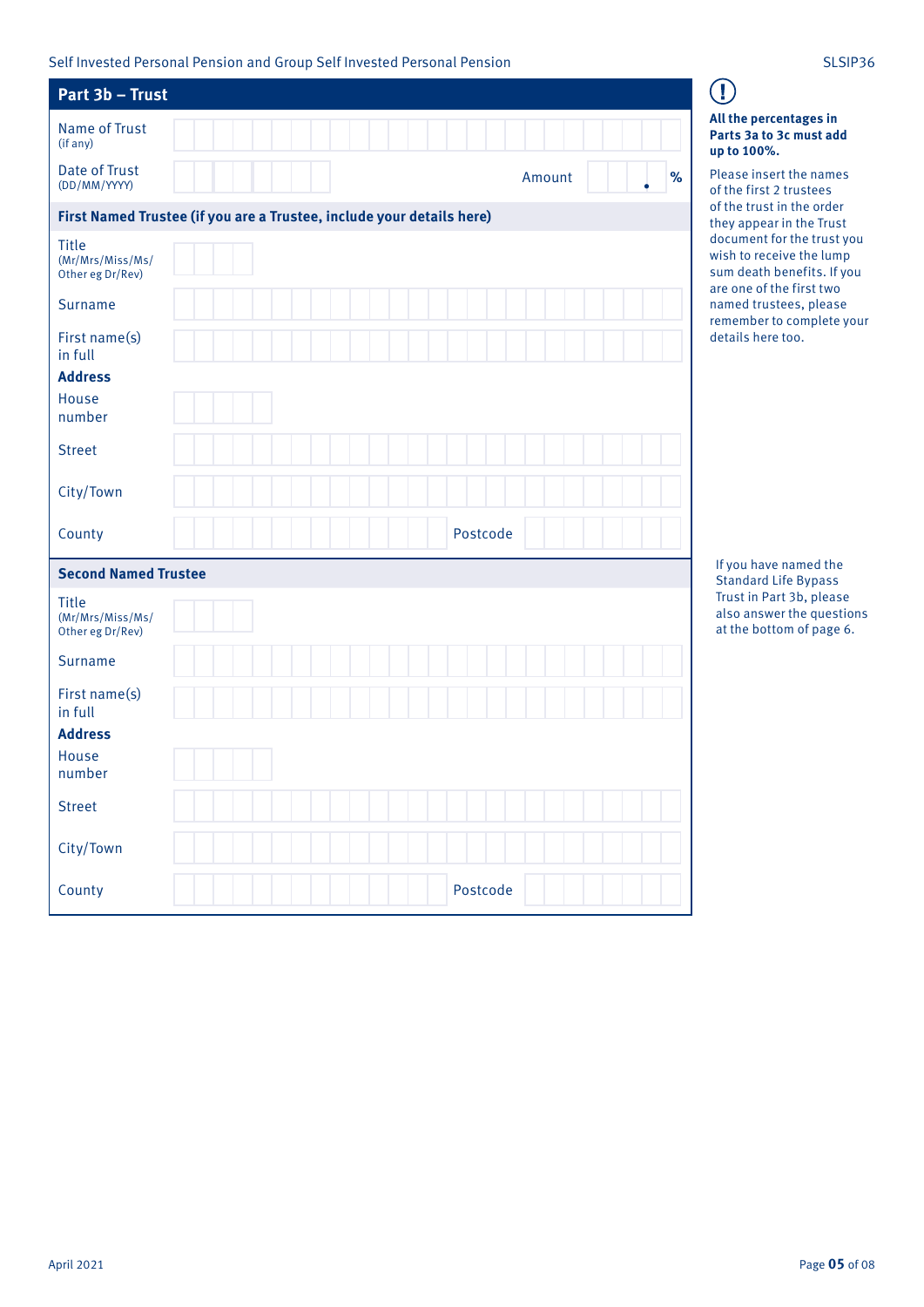Self Invested Personal Pension and Group Self Invested Personal Pension Subsection SLSIP36

| Part 3b - Trust                                      |                                                                       |
|------------------------------------------------------|-----------------------------------------------------------------------|
| <b>Name of Trust</b><br>(if any)                     |                                                                       |
| <b>Date of Trust</b><br>(DD/MM/YYYY)                 | %<br>Amount                                                           |
|                                                      | First Named Trustee (if you are a Trustee, include your details here) |
| <b>Title</b><br>(Mr/Mrs/Miss/Ms/<br>Other eg Dr/Rev) |                                                                       |
| Surname                                              |                                                                       |
| First name(s)<br>in full                             |                                                                       |
| <b>Address</b>                                       |                                                                       |
| House<br>number                                      |                                                                       |
| <b>Street</b>                                        |                                                                       |
| City/Town                                            |                                                                       |
| County                                               | Postcode                                                              |
| <b>Second Named Trustee</b>                          |                                                                       |
| <b>Title</b><br>(Mr/Mrs/Miss/Ms/<br>Other eg Dr/Rev) |                                                                       |
| <b>Surname</b>                                       |                                                                       |
| First name(s)<br>in full                             |                                                                       |
| <b>Address</b>                                       |                                                                       |
| House<br>number                                      |                                                                       |
| <b>Street</b>                                        |                                                                       |
| City/Town                                            |                                                                       |
| County                                               | Postcode                                                              |

#### **All the percentages in Parts 3a to 3c must add up to 100%.**

 $\mathbf{I}$ 

Please insert the names of the first 2 trustees of the trust in the order they appear in the Trust document for the trust you wish to receive the lump sum death benefits. If you are one of the first two named trustees, please remember to complete your details here too.

If you have named the Standard Life Bypass Trust in Part 3b, please also answer the questions at the bottom of page 6.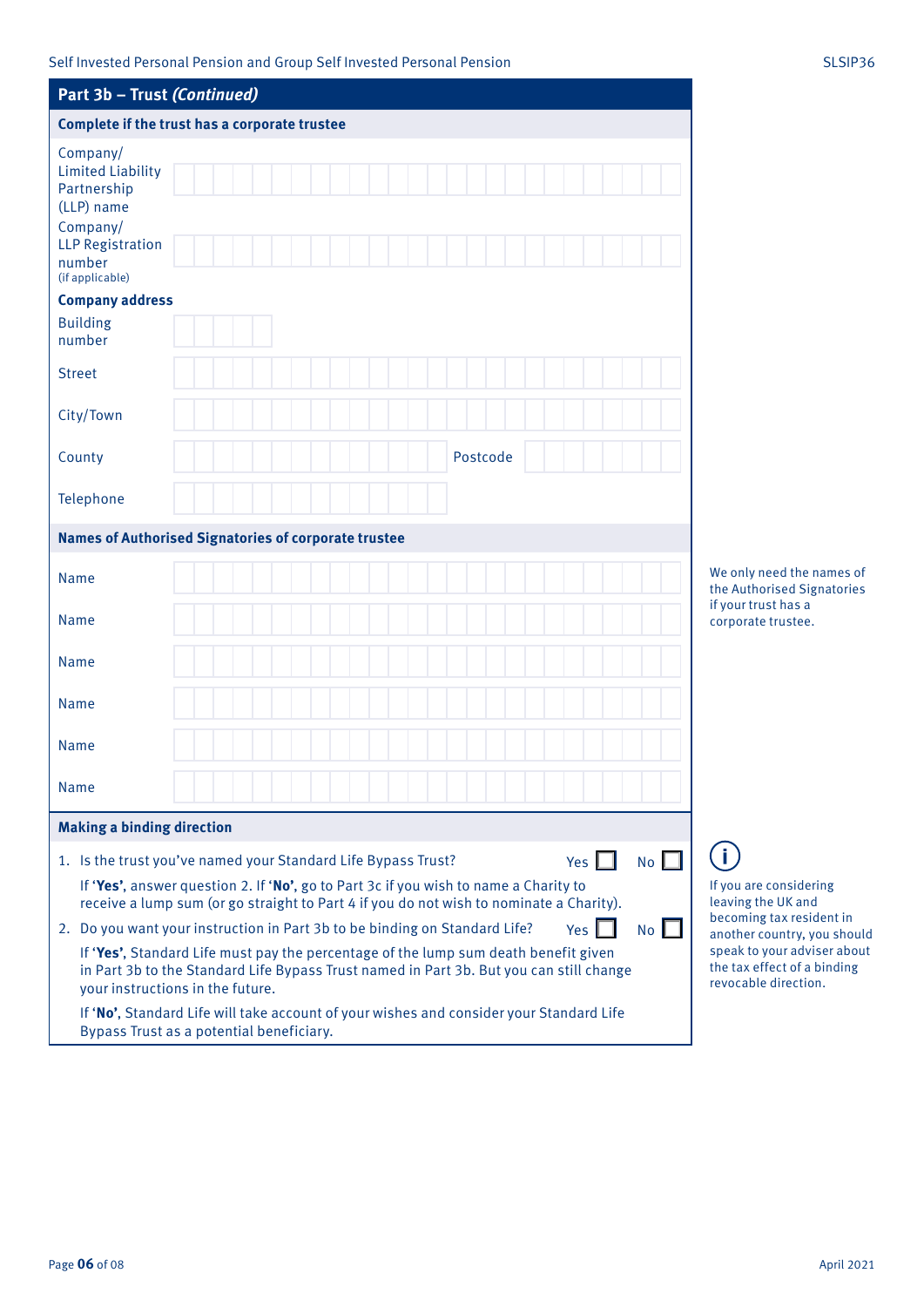| Part 3b - Trust (Continued)                                                                                                                                                                                        |  |  |  |  |  |  |          |  |              |            |  |    |                                            |  |
|--------------------------------------------------------------------------------------------------------------------------------------------------------------------------------------------------------------------|--|--|--|--|--|--|----------|--|--------------|------------|--|----|--------------------------------------------|--|
| Complete if the trust has a corporate trustee                                                                                                                                                                      |  |  |  |  |  |  |          |  |              |            |  |    |                                            |  |
| Company/<br><b>Limited Liability</b>                                                                                                                                                                               |  |  |  |  |  |  |          |  |              |            |  |    |                                            |  |
| Partnership<br>(LLP) name<br>Company/                                                                                                                                                                              |  |  |  |  |  |  |          |  |              |            |  |    |                                            |  |
| <b>LLP Registration</b><br>number<br>(if applicable)                                                                                                                                                               |  |  |  |  |  |  |          |  |              |            |  |    |                                            |  |
| <b>Company address</b><br><b>Building</b><br>number                                                                                                                                                                |  |  |  |  |  |  |          |  |              |            |  |    |                                            |  |
| <b>Street</b>                                                                                                                                                                                                      |  |  |  |  |  |  |          |  |              |            |  |    |                                            |  |
| City/Town                                                                                                                                                                                                          |  |  |  |  |  |  |          |  |              |            |  |    |                                            |  |
| County                                                                                                                                                                                                             |  |  |  |  |  |  | Postcode |  |              |            |  |    |                                            |  |
| Telephone                                                                                                                                                                                                          |  |  |  |  |  |  |          |  |              |            |  |    |                                            |  |
| <b>Names of Authorised Signatories of corporate trustee</b>                                                                                                                                                        |  |  |  |  |  |  |          |  |              |            |  |    |                                            |  |
| <b>Name</b>                                                                                                                                                                                                        |  |  |  |  |  |  |          |  |              |            |  |    | We only ne<br>the Authori                  |  |
| Name                                                                                                                                                                                                               |  |  |  |  |  |  |          |  |              |            |  |    | if your trus<br>corporate t                |  |
| Name                                                                                                                                                                                                               |  |  |  |  |  |  |          |  |              |            |  |    |                                            |  |
| Name                                                                                                                                                                                                               |  |  |  |  |  |  |          |  |              |            |  |    |                                            |  |
| Name                                                                                                                                                                                                               |  |  |  |  |  |  |          |  |              |            |  |    |                                            |  |
| <b>Name</b>                                                                                                                                                                                                        |  |  |  |  |  |  |          |  |              |            |  |    |                                            |  |
| <b>Making a binding direction</b>                                                                                                                                                                                  |  |  |  |  |  |  |          |  |              |            |  |    |                                            |  |
| 1. Is the trust you've named your Standard Life Bypass Trust?                                                                                                                                                      |  |  |  |  |  |  |          |  |              | Yes $\Box$ |  | No |                                            |  |
| If 'Yes', answer question 2. If 'No', go to Part 3c if you wish to name a Charity to<br>receive a lump sum (or go straight to Part 4 if you do not wish to nominate a Charity).                                    |  |  |  |  |  |  |          |  |              |            |  |    | If you are c<br>leaving the                |  |
| 2. Do you want your instruction in Part 3b to be binding on Standard Life?                                                                                                                                         |  |  |  |  |  |  |          |  | Yes $\Gamma$ |            |  | No | becoming t<br>another co                   |  |
| If 'Yes', Standard Life must pay the percentage of the lump sum death benefit given<br>in Part 3b to the Standard Life Bypass Trust named in Part 3b. But you can still change<br>your instructions in the future. |  |  |  |  |  |  |          |  |              |            |  |    | speak to yo<br>the tax effe<br>revocable o |  |
| If 'No', Standard Life will take account of your wishes and consider your Standard Life                                                                                                                            |  |  |  |  |  |  |          |  |              |            |  |    |                                            |  |

Bypass Trust as a potential beneficiary.

ed the names of ised Signatories  $\mathsf{S}$ thas a trustee.

considering le UK and tax resident in untry, you should our adviser about ect of a binding direction.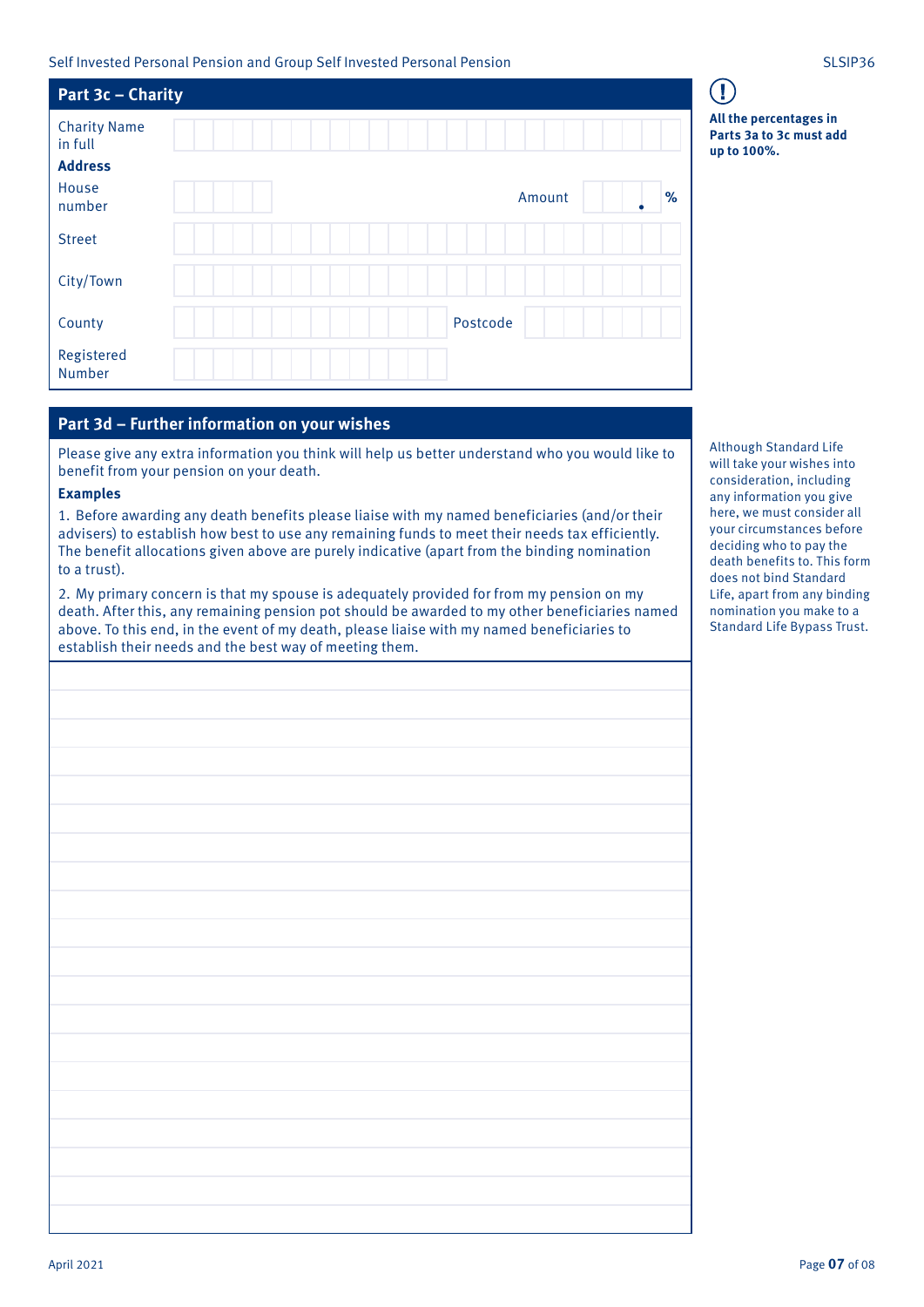Self Invested Personal Pension and Group Self Invested Personal Pension SLSIP36

| Part 3c - Charity                                |             |
|--------------------------------------------------|-------------|
| <b>Charity Name</b><br>in full<br><b>Address</b> |             |
| House<br>number                                  | %<br>Amount |
| <b>Street</b>                                    |             |
| City/Town                                        |             |
| County                                           | Postcode    |
| Registered<br>Number                             |             |

## **Part 3d – Further information on your wishes**

Please give any extra information you think will help us better understand who you would like to benefit from your pension on your death.

#### **Examples**

1. Before awarding any death benefits please liaise with my named beneficiaries (and/or their advisers) to establish how best to use any remaining funds to meet their needs tax efficiently. The benefit allocations given above are purely indicative (apart from the binding nomination to a trust).

2. My primary concern is that my spouse is adequately provided for from my pension on my death. After this, any remaining pension pot should be awarded to my other beneficiaries named above. To this end, in the event of my death, please liaise with my named beneficiaries to establish their needs and the best way of meeting them.

Although Standard Life will take your wishes into consideration, including any information you give here, we must consider all your circumstances before deciding who to pay the death benefits to. This form does not bind Standard Life, apart from any binding nomination you make to a Standard Life Bypass Trust.

**All the percentages in Parts 3a to 3c must add up to 100%.**